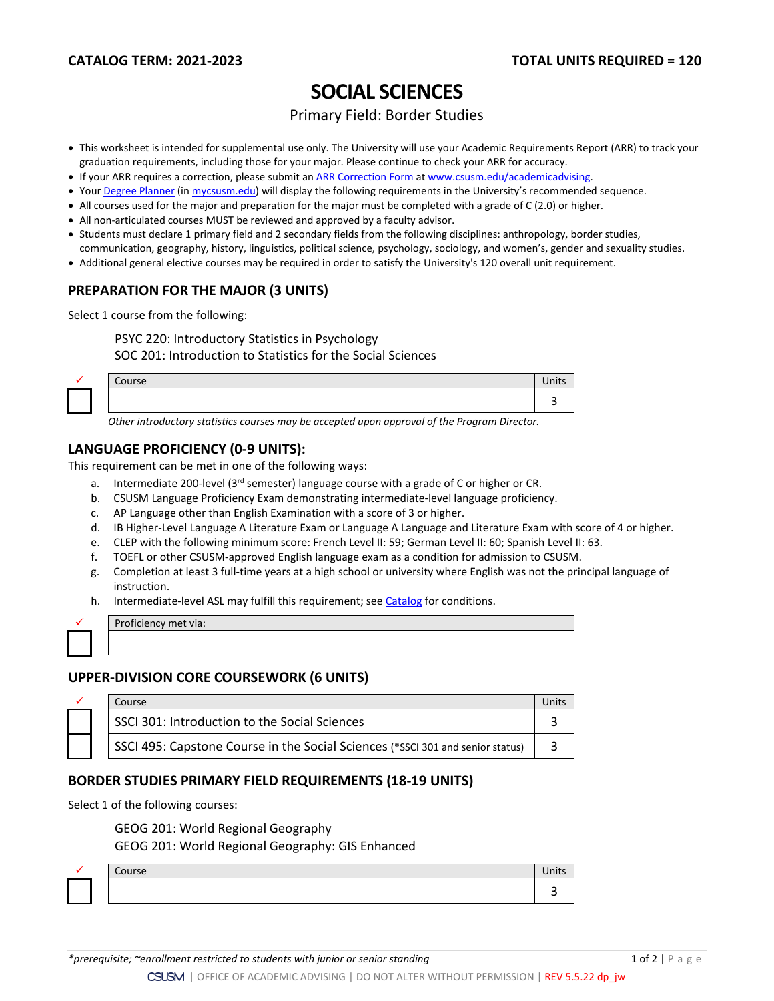# **SOCIAL SCIENCES**

#### Primary Field: Border Studies

- This worksheet is intended for supplemental use only. The University will use your Academic Requirements Report (ARR) to track your graduation requirements, including those for your major. Please continue to check your ARR for accuracy.
- If your ARR requires a correction, please submit an [ARR Correction Form](http://www.csusm.edu/academicadvising/arrcorrection/index.html) a[t www.csusm.edu/academicadvising.](http://www.csusm.edu/academicadvising)
- You[r Degree Planner](https://www.csusm.edu/academicadvising/degreeplanner/index.html) (i[n mycsusm.edu\)](https://my.csusm.edu/) will display the following requirements in the University's recommended sequence.
- All courses used for the major and preparation for the major must be completed with a grade of C (2.0) or higher.
- All non-articulated courses MUST be reviewed and approved by a faculty advisor.
- Students must declare 1 primary field and 2 secondary fields from the following disciplines: anthropology, border studies, communication, geography, history, linguistics, political science, psychology, sociology, and women's, gender and sexuality studies.
- Additional general elective courses may be required in order to satisfy the University's 120 overall unit requirement.

### **PREPARATION FOR THE MAJOR (3 UNITS)**

Select 1 course from the following:

PSYC 220: Introductory Statistics in Psychology

SOC 201: Introduction to Statistics for the Social Sciences

| <b>PERSONAL PROPERTY</b> | $\sim$<br>Course | <b>The Country of Country</b><br>Inits |
|--------------------------|------------------|----------------------------------------|
|                          |                  |                                        |

*Other introductory statistics courses may be accepted upon approval of the Program Director.*

#### **LANGUAGE PROFICIENCY (0-9 UNITS):**

This requirement can be met in one of the following ways:

- a. Intermediate 200-level (3rd semester) language course with a grade of C or higher or CR.
- b. CSUSM Language Proficiency Exam demonstrating intermediate-level language proficiency.
- c. AP Language other than English Examination with a score of 3 or higher.
- d. IB Higher-Level Language A Literature Exam or Language A Language and Literature Exam with score of 4 or higher.
- e. CLEP with the following minimum score: French Level II: 59; German Level II: 60; Spanish Level II: 63.
- f. TOEFL or other CSUSM-approved English language exam as a condition for admission to CSUSM.
- g. Completion at least 3 full-time years at a high school or university where English was not the principal language of instruction.
- h. Intermediate-level ASL may fulfill this requirement; see [Catalog](http://catalog.csusm.edu/) for conditions.

Proficiency met via:

#### **UPPER-DIVISION CORE COURSEWORK (6 UNITS)**

|  | Course                                                                         |  |
|--|--------------------------------------------------------------------------------|--|
|  | SSCI 301: Introduction to the Social Sciences                                  |  |
|  | SSCI 495: Capstone Course in the Social Sciences (*SSCI 301 and senior status) |  |

#### **BORDER STUDIES PRIMARY FIELD REQUIREMENTS (18-19 UNITS)**

Select 1 of the following courses:

GEOG 201: World Regional Geography

GEOG 201: World Regional Geography: GIS Enhanced

| Course |  |
|--------|--|
|        |  |